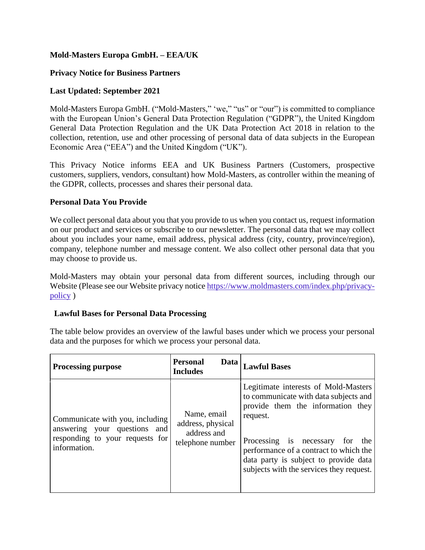# **Mold-Masters Europa GmbH. – EEA/UK**

## **Privacy Notice for Business Partners**

## **Last Updated: September 2021**

Mold-Masters Europa GmbH. ("Mold-Masters," 'we," "us" or "our") is committed to compliance with the European Union's General Data Protection Regulation ("GDPR"), the United Kingdom General Data Protection Regulation and the UK Data Protection Act 2018 in relation to the collection, retention, use and other processing of personal data of data subjects in the European Economic Area ("EEA") and the United Kingdom ("UK").

This Privacy Notice informs EEA and UK Business Partners (Customers, prospective customers, suppliers, vendors, consultant) how Mold-Masters, as controller within the meaning of the GDPR, collects, processes and shares their personal data.

### **Personal Data You Provide**

We collect personal data about you that you provide to us when you contact us, request information on our product and services or subscribe to our newsletter. The personal data that we may collect about you includes your name, email address, physical address (city, country, province/region), company, telephone number and message content. We also collect other personal data that you may choose to provide us.

Mold-Masters may obtain your personal data from different sources, including through our Website (Please see our Website privacy notice [https://www.moldmasters.com/index.php/privacy](https://www.moldmasters.com/index.php/privacy-policy)[policy](https://www.moldmasters.com/index.php/privacy-policy) )

# **Lawful Bases for Personal Data Processing**

The table below provides an overview of the lawful bases under which we process your personal data and the purposes for which we process your personal data.

| <b>Processing purpose</b>                                                                                          | <b>Personal</b><br>Data<br><b>Includes</b>                          | <b>Lawful Bases</b>                                                                                                                                                                                                                                                                                    |
|--------------------------------------------------------------------------------------------------------------------|---------------------------------------------------------------------|--------------------------------------------------------------------------------------------------------------------------------------------------------------------------------------------------------------------------------------------------------------------------------------------------------|
| Communicate with you, including<br>answering your questions and<br>responding to your requests for<br>information. | Name, email<br>address, physical<br>address and<br>telephone number | Legitimate interests of Mold-Masters<br>to communicate with data subjects and<br>provide them the information they<br>request.<br>Processing is necessary<br>the<br>for<br>performance of a contract to which the<br>data party is subject to provide data<br>subjects with the services they request. |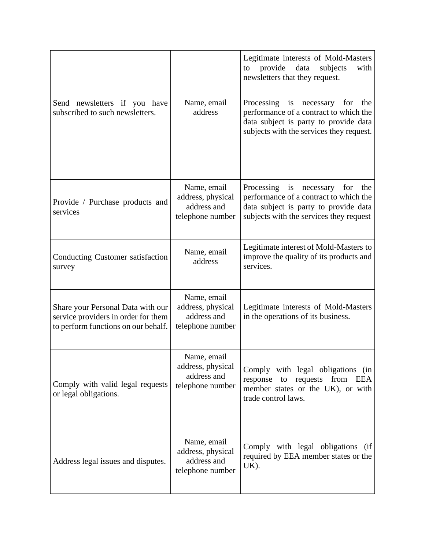| Send newsletters if you have<br>subscribed to such newsletters.                                                 | Name, email<br>address                                              | Legitimate interests of Mold-Masters<br>provide<br>data<br>subjects<br>with<br>to<br>newsletters that they request.<br>Processing is necessary for<br>the<br>performance of a contract to which the<br>data subject is party to provide data<br>subjects with the services they request. |
|-----------------------------------------------------------------------------------------------------------------|---------------------------------------------------------------------|------------------------------------------------------------------------------------------------------------------------------------------------------------------------------------------------------------------------------------------------------------------------------------------|
| Provide / Purchase products and<br>services                                                                     | Name, email<br>address, physical<br>address and<br>telephone number | Processing is necessary<br>for<br>the<br>performance of a contract to which the<br>data subject is party to provide data<br>subjects with the services they request                                                                                                                      |
| Conducting Customer satisfaction<br>survey                                                                      | Name, email<br>address                                              | Legitimate interest of Mold-Masters to<br>improve the quality of its products and<br>services.                                                                                                                                                                                           |
| Share your Personal Data with our<br>service providers in order for them<br>to perform functions on our behalf. | Name, email<br>address, physical<br>address and<br>telephone number | Legitimate interests of Mold-Masters<br>in the operations of its business.                                                                                                                                                                                                               |
| Comply with valid legal requests<br>or legal obligations.                                                       | Name, email<br>address, physical<br>address and<br>telephone number | Comply with legal obligations (in<br>to requests<br>from EEA<br>response<br>member states or the UK), or with<br>trade control laws.                                                                                                                                                     |
| Address legal issues and disputes.                                                                              | Name, email<br>address, physical<br>address and<br>telephone number | Comply with legal obligations<br>(ii<br>required by EEA member states or the<br>UK).                                                                                                                                                                                                     |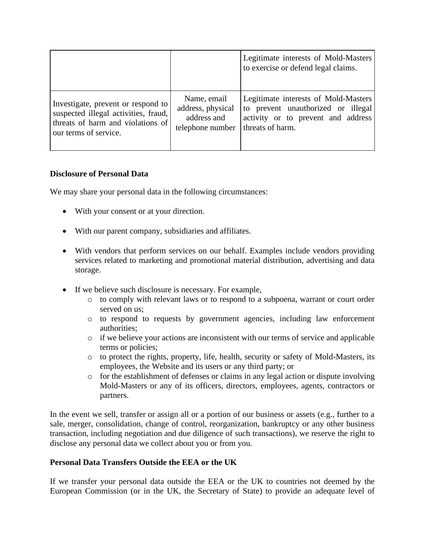|                                      |                   | Legitimate interests of Mold-Masters<br>to exercise or defend legal claims. |
|--------------------------------------|-------------------|-----------------------------------------------------------------------------|
| Investigate, prevent or respond to   | Name, email       | Legitimate interests of Mold-Masters                                        |
| suspected illegal activities, fraud, | address, physical | to prevent unauthorized or illegal                                          |
| threats of harm and violations of    | address and       | activity or to prevent and address                                          |
| our terms of service.                | telephone number  | threats of harm.                                                            |

### **Disclosure of Personal Data**

We may share your personal data in the following circumstances:

- With your consent or at your direction.
- With our parent company, subsidiaries and affiliates.
- With vendors that perform services on our behalf. Examples include vendors providing services related to marketing and promotional material distribution, advertising and data storage.
- If we believe such disclosure is necessary. For example,
	- o to comply with relevant laws or to respond to a subpoena, warrant or court order served on us;
	- o to respond to requests by government agencies, including law enforcement authorities;
	- $\circ$  if we believe your actions are inconsistent with our terms of service and applicable terms or policies;
	- o to protect the rights, property, life, health, security or safety of Mold-Masters, its employees, the Website and its users or any third party; or
	- o for the establishment of defenses or claims in any legal action or dispute involving Mold-Masters or any of its officers, directors, employees, agents, contractors or partners.

In the event we sell, transfer or assign all or a portion of our business or assets (e.g., further to a sale, merger, consolidation, change of control, reorganization, bankruptcy or any other business transaction, including negotiation and due diligence of such transactions), we reserve the right to disclose any personal data we collect about you or from you.

#### **Personal Data Transfers Outside the EEA or the UK**

If we transfer your personal data outside the EEA or the UK to countries not deemed by the European Commission (or in the UK, the Secretary of State) to provide an adequate level of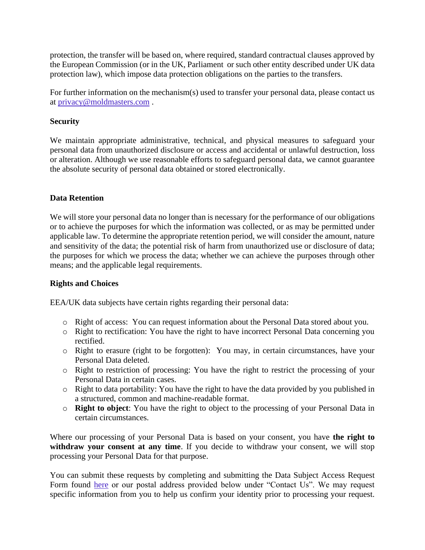protection, the transfer will be based on, where required, standard contractual clauses approved by the European Commission (or in the UK, Parliament or such other entity described under UK data protection law), which impose data protection obligations on the parties to the transfers.

For further information on the mechanism(s) used to transfer your personal data, please contact us at [privacy@moldmasters.com](mailto:privacy@moldmasters.com) .

### **Security**

We maintain appropriate administrative, technical, and physical measures to safeguard your personal data from unauthorized disclosure or access and accidental or unlawful destruction, loss or alteration. Although we use reasonable efforts to safeguard personal data, we cannot guarantee the absolute security of personal data obtained or stored electronically.

### **Data Retention**

We will store your personal data no longer than is necessary for the performance of our obligations or to achieve the purposes for which the information was collected, or as may be permitted under applicable law. To determine the appropriate retention period, we will consider the amount, nature and sensitivity of the data; the potential risk of harm from unauthorized use or disclosure of data; the purposes for which we process the data; whether we can achieve the purposes through other means; and the applicable legal requirements.

#### **Rights and Choices**

EEA/UK data subjects have certain rights regarding their personal data:

- o Right of access: You can request information about the Personal Data stored about you.
- o Right to rectification: You have the right to have incorrect Personal Data concerning you rectified.
- o Right to erasure (right to be forgotten): You may, in certain circumstances, have your Personal Data deleted.
- o Right to restriction of processing: You have the right to restrict the processing of your Personal Data in certain cases.
- o Right to data portability: You have the right to have the data provided by you published in a structured, common and machine-readable format.
- o **Right to object**: You have the right to object to the processing of your Personal Data in certain circumstances.

Where our processing of your Personal Data is based on your consent, you have **the right to withdraw your consent at any time**. If you decide to withdraw your consent, we will stop processing your Personal Data for that purpose.

You can submit these requests by completing and submitting the Data Subject Access Request Form found [here](https://privacyportal.onetrust.com/webform/6310009a-6606-45b3-a71d-548d469d92c5/9f059da9-d287-4305-9655-3c463d815d3c) or our postal address provided below under "Contact Us". We may request specific information from you to help us confirm your identity prior to processing your request.